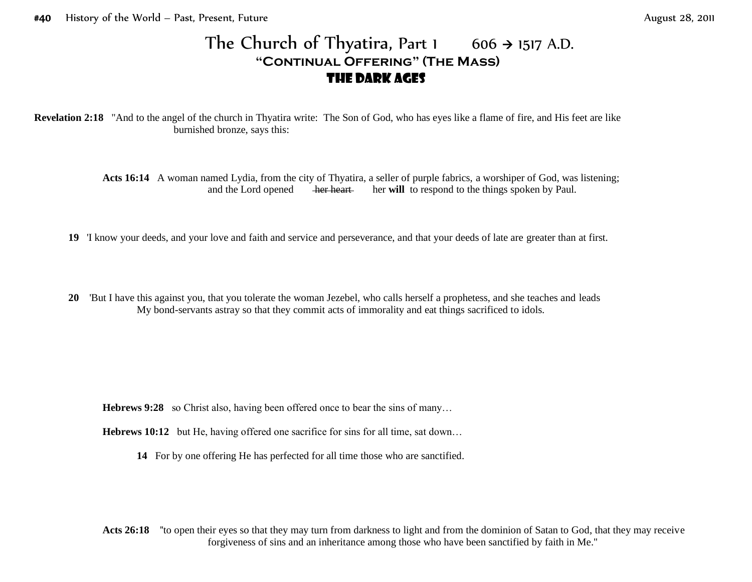## The Church of Thyatira, Part 1  $606 \rightarrow 1517$  A.D. **"Continual Offering" (The Mass)** the Dark Ages

**Revelation 2:18** "And to the angel of the church in Thyatira write: The Son of God, who has eyes like a flame of fire, and His feet are like burnished bronze, says this:

> **Acts 16:14** A woman named Lydia, from the city of Thyatira, a seller of purple fabrics, a worshiper of God, was listening; and the Lord opened her heart her will to respond to the things spoken by Paul.

- **19** 'I know your deeds, and your love and faith and service and perseverance, and that your deeds of late are greater than at first.
- **20** 'But I have this against you, that you tolerate the woman Jezebel, who calls herself a prophetess, and she teaches and leads My bond-servants astray so that they commit acts of immorality and eat things sacrificed to idols.

**Hebrews 9:28** so Christ also, having been offered once to bear the sins of many...

- **Hebrews 10:12** but He, having offered one sacrifice for sins for all time, sat down...
	- **14** For by one offering He has perfected for all time those who are sanctified.

**Acts 26:18** ''to open their eyes so that they may turn from darkness to light and from the dominion of Satan to God, that they may receive forgiveness of sins and an inheritance among those who have been sanctified by faith in Me.''